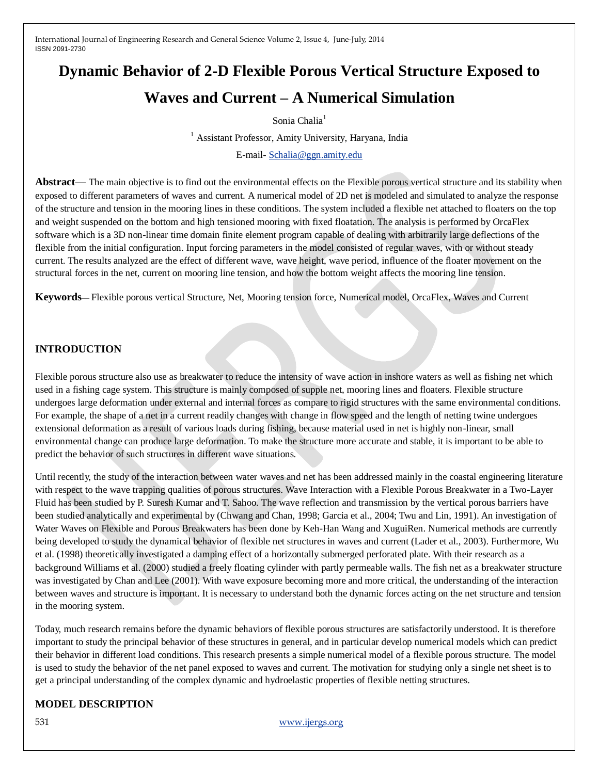# **Dynamic Behavior of 2-D Flexible Porous Vertical Structure Exposed to Waves and Current – A Numerical Simulation**

## Sonia Chalia<sup>1</sup>

<sup>1</sup> Assistant Professor, Amity University, Haryana, India

E-mail- [Schalia@ggn.amity.edu](mailto:Schalia@ggn.amity.edu)

**Abstract**— The main objective is to find out the environmental effects on the Flexible porous vertical structure and its stability when exposed to different parameters of waves and current. A numerical model of 2D net is modeled and simulated to analyze the response of the structure and tension in the mooring lines in these conditions. The system included a flexible net attached to floaters on the top and weight suspended on the bottom and high tensioned mooring with fixed floatation. The analysis is performed by OrcaFlex software which is a 3D non-linear time domain finite element program capable of dealing with arbitrarily large deflections of the flexible from the initial configuration. Input forcing parameters in the model consisted of regular waves, with or without steady current. The results analyzed are the effect of different wave, wave height, wave period, influence of the floater movement on the structural forces in the net, current on mooring line tension, and how the bottom weight affects the mooring line tension.

**Keywords**— Flexible porous vertical Structure, Net, Mooring tension force, Numerical model, OrcaFlex, Waves and Current

# **INTRODUCTION**

Flexible porous structure also use as breakwater to reduce the intensity of wave action in inshore waters as well as fishing net which used in a fishing cage system. This structure is mainly composed of supple net, mooring lines and floaters. Flexible structure undergoes large deformation under external and internal forces as compare to rigid structures with the same environmental conditions. For example, the shape of a net in a current readily changes with change in flow speed and the length of netting twine undergoes extensional deformation as a result of various loads during fishing, because material used in net is highly non-linear, small environmental change can produce large deformation. To make the structure more accurate and stable, it is important to be able to predict the behavior of such structures in different wave situations.

Until recently, the study of the interaction between water waves and net has been addressed mainly in the coastal engineering literature with respect to the wave trapping qualities of porous structures. Wave Interaction with a Flexible Porous Breakwater in a Two-Layer Fluid has been studied by P. Suresh Kumar and T. Sahoo. The wave reflection and transmission by the vertical porous barriers have been studied analytically and experimental by (Chwang and Chan, 1998; Garcia et al., 2004; Twu and Lin, 1991). An investigation of Water Waves on Flexible and Porous Breakwaters has been done by Keh-Han Wang and XuguiRen. Numerical methods are currently being developed to study the dynamical behavior of flexible net structures in waves and current (Lader et al., 2003). Furthermore, Wu et al. (1998) theoretically investigated a damping effect of a horizontally submerged perforated plate. With their research as a background Williams et al. (2000) studied a freely floating cylinder with partly permeable walls. The fish net as a breakwater structure was investigated by Chan and Lee (2001). With wave exposure becoming more and more critical, the understanding of the interaction between waves and structure is important. It is necessary to understand both the dynamic forces acting on the net structure and tension in the mooring system.

Today, much research remains before the dynamic behaviors of flexible porous structures are satisfactorily understood. It is therefore important to study the principal behavior of these structures in general, and in particular develop numerical models which can predict their behavior in different load conditions. This research presents a simple numerical model of a flexible porous structure. The model is used to study the behavior of the net panel exposed to waves and current. The motivation for studying only a single net sheet is to get a principal understanding of the complex dynamic and hydroelastic properties of flexible netting structures.

# **MODEL DESCRIPTION**

531 [www.ijergs.org](http://www.ijergs.org/)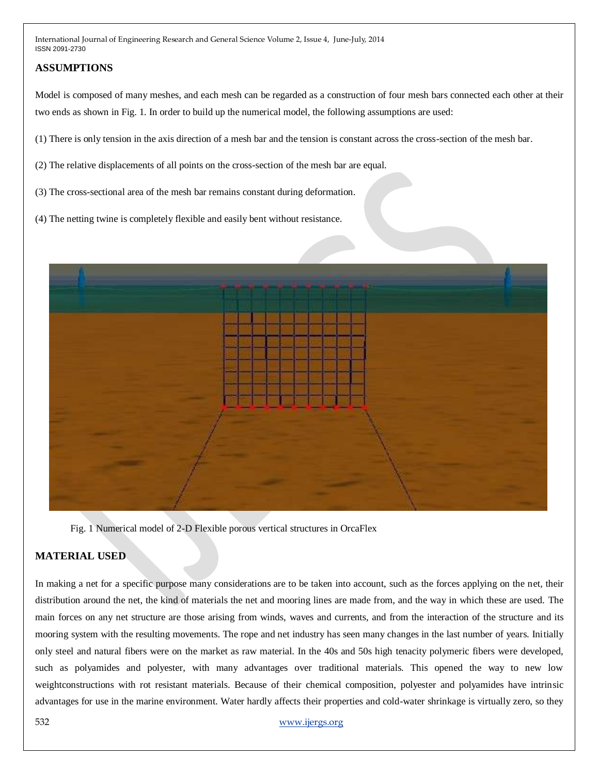# **ASSUMPTIONS**

Model is composed of many meshes, and each mesh can be regarded as a construction of four mesh bars connected each other at their two ends as shown in Fig. 1. In order to build up the numerical model, the following assumptions are used:

(1) There is only tension in the axis direction of a mesh bar and the tension is constant across the cross-section of the mesh bar.

(2) The relative displacements of all points on the cross-section of the mesh bar are equal.

(3) The cross-sectional area of the mesh bar remains constant during deformation.

(4) The netting twine is completely flexible and easily bent without resistance.



Fig. 1 Numerical model of 2-D Flexible porous vertical structures in OrcaFlex

# **MATERIAL USED**

In making a net for a specific purpose many considerations are to be taken into account, such as the forces applying on the net, their distribution around the net, the kind of materials the net and mooring lines are made from, and the way in which these are used. The main forces on any net structure are those arising from winds, waves and currents, and from the interaction of the structure and its mooring system with the resulting movements. The rope and net industry has seen many changes in the last number of years. Initially only steel and natural fibers were on the market as raw material. In the 40s and 50s high tenacity polymeric fibers were developed, such as polyamides and polyester, with many advantages over traditional materials. This opened the way to new low weightconstructions with rot resistant materials. Because of their chemical composition, polyester and polyamides have intrinsic advantages for use in the marine environment. Water hardly affects their properties and cold-water shrinkage is virtually zero, so they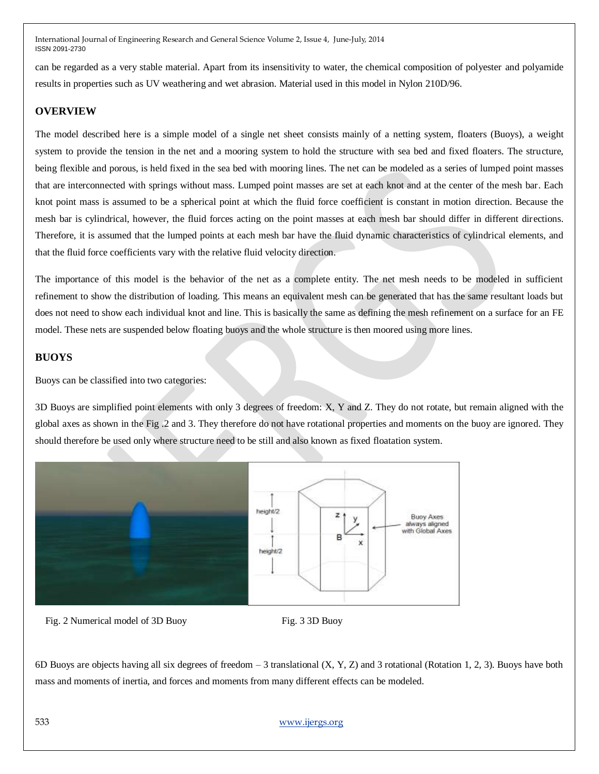can be regarded as a very stable material. Apart from its insensitivity to water, the chemical composition of polyester and polyamide results in properties such as UV weathering and wet abrasion. Material used in this model in Nylon 210D/96.

# **OVERVIEW**

The model described here is a simple model of a single net sheet consists mainly of a netting system, floaters (Buoys), a weight system to provide the tension in the net and a mooring system to hold the structure with sea bed and fixed floaters. The structure, being flexible and porous, is held fixed in the sea bed with mooring lines. The net can be modeled as a series of lumped point masses that are interconnected with springs without mass. Lumped point masses are set at each knot and at the center of the mesh bar. Each knot point mass is assumed to be a spherical point at which the fluid force coefficient is constant in motion direction. Because the mesh bar is cylindrical, however, the fluid forces acting on the point masses at each mesh bar should differ in different directions. Therefore, it is assumed that the lumped points at each mesh bar have the fluid dynamic characteristics of cylindrical elements, and that the fluid force coefficients vary with the relative fluid velocity direction.

The importance of this model is the behavior of the net as a complete entity. The net mesh needs to be modeled in sufficient refinement to show the distribution of loading. This means an equivalent mesh can be generated that has the same resultant loads but does not need to show each individual knot and line. This is basically the same as defining the mesh refinement on a surface for an FE model. These nets are suspended below floating buoys and the whole structure is then moored using more lines.

## **BUOYS**

Buoys can be classified into two categories:

3D Buoys are simplified point elements with only 3 degrees of freedom: X, Y and Z. They do not rotate, but remain aligned with the global axes as shown in the Fig .2 and 3. They therefore do not have rotational properties and moments on the buoy are ignored. They should therefore be used only where structure need to be still and also known as fixed floatation system.



Fig. 2 Numerical model of 3D Buoy Fig. 3 3D Buoy

6D Buoys are objects having all six degrees of freedom – 3 translational (X, Y, Z) and 3 rotational (Rotation 1, 2, 3). Buoys have both mass and moments of inertia, and forces and moments from many different effects can be modeled.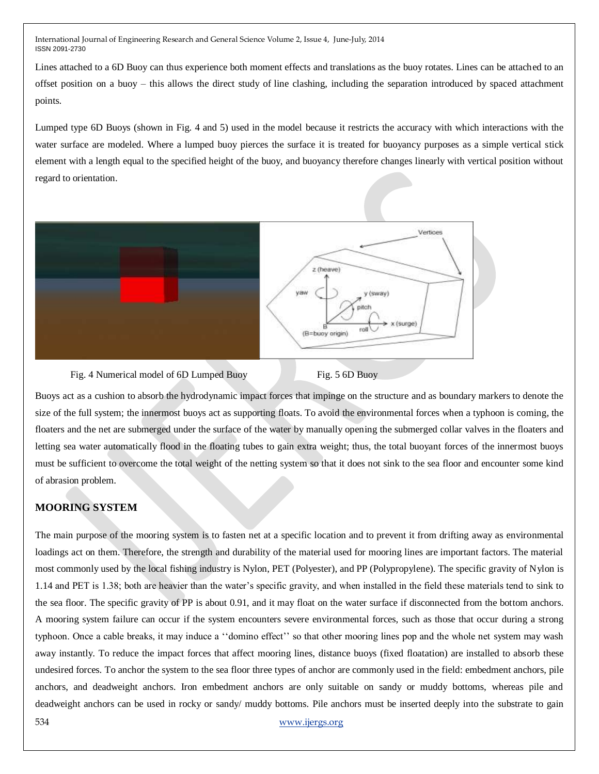Lines attached to a 6D Buoy can thus experience both moment effects and translations as the buoy rotates. Lines can be attached to an offset position on a buoy – this allows the direct study of [line clashing,](http://www.orcina.com/SoftwareProducts/OrcaFlex/Documentation/Help/Content/html/LineTheory,Clashing.htm) including the separation introduced by spaced attachment points.

Lumped type 6D Buoys (shown in Fig. 4 and 5) used in the model because it restricts the accuracy with which interactions with the water surface are modeled. Where a lumped buoy pierces the surface it is treated for buoyancy purposes as a simple vertical stick element with a length equal to the specified height of the buoy, and buoyancy therefore changes linearly with vertical position without regard to orientation.



Fig. 4 Numerical model of 6D Lumped Buoy Fig. 5 6D Buoy

Buoys act as a cushion to absorb the hydrodynamic impact forces that impinge on the structure and as boundary markers to denote the size of the full system; the innermost buoys act as supporting floats. To avoid the environmental forces when a typhoon is coming, the floaters and the net are submerged under the surface of the water by manually opening the submerged collar valves in the floaters and letting sea water automatically flood in the floating tubes to gain extra weight; thus, the total buoyant forces of the innermost buoys must be sufficient to overcome the total weight of the netting system so that it does not sink to the sea floor and encounter some kind of abrasion problem.

# **MOORING SYSTEM**

The main purpose of the mooring system is to fasten net at a specific location and to prevent it from drifting away as environmental loadings act on them. Therefore, the strength and durability of the material used for mooring lines are important factors. The material most commonly used by the local fishing industry is Nylon, PET (Polyester), and PP (Polypropylene). The specific gravity of Nylon is 1.14 and PET is 1.38; both are heavier than the water's specific gravity, and when installed in the field these materials tend to sink to the sea floor. The specific gravity of PP is about 0.91, and it may float on the water surface if disconnected from the bottom anchors. A mooring system failure can occur if the system encounters severe environmental forces, such as those that occur during a strong typhoon. Once a cable breaks, it may induce a "domino effect" so that other mooring lines pop and the whole net system may wash away instantly. To reduce the impact forces that affect mooring lines, distance buoys (fixed floatation) are installed to absorb these undesired forces. To anchor the system to the sea floor three types of anchor are commonly used in the field: embedment anchors, pile anchors, and deadweight anchors. Iron embedment anchors are only suitable on sandy or muddy bottoms, whereas pile and deadweight anchors can be used in rocky or sandy/ muddy bottoms. Pile anchors must be inserted deeply into the substrate to gain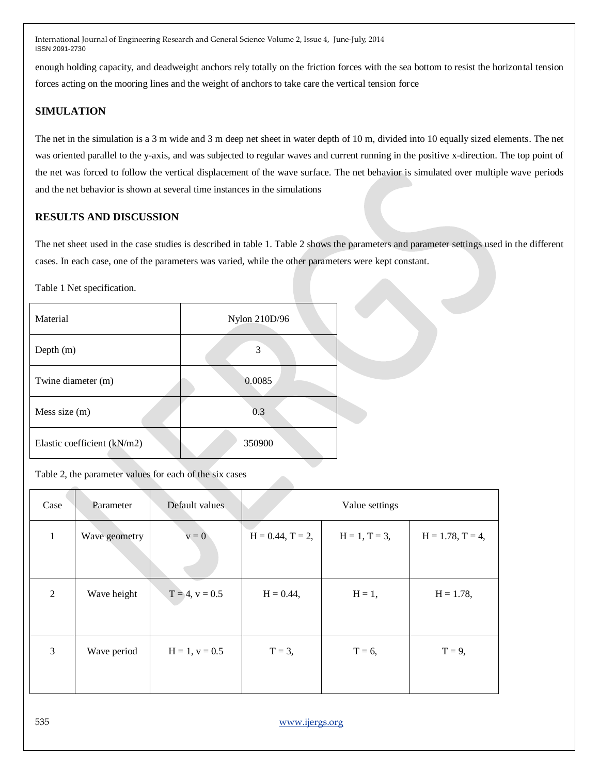enough holding capacity, and deadweight anchors rely totally on the friction forces with the sea bottom to resist the horizontal tension forces acting on the mooring lines and the weight of anchors to take care the vertical tension force

# **SIMULATION**

The net in the simulation is a 3 m wide and 3 m deep net sheet in water depth of 10 m, divided into 10 equally sized elements. The net was oriented parallel to the y-axis, and was subjected to regular waves and current running in the positive x-direction. The top point of the net was forced to follow the vertical displacement of the wave surface. The net behavior is simulated over multiple wave periods and the net behavior is shown at several time instances in the simulations

# **RESULTS AND DISCUSSION**

The net sheet used in the case studies is described in table 1. Table 2 shows the parameters and parameter settings used in the different cases. In each case, one of the parameters was varied, while the other parameters were kept constant.

Table 1 Net specification.

| Material                    | Nylon 210D/96 |  |
|-----------------------------|---------------|--|
| Depth (m)                   | 3             |  |
| Twine diameter (m)          | 0.0085        |  |
| Mess size (m)               | 0.3           |  |
| Elastic coefficient (kN/m2) | 350900        |  |

Table 2, the parameter values for each of the six cases

| Case         | Parameter     | Default values   |                        | Value settings  |                        |
|--------------|---------------|------------------|------------------------|-----------------|------------------------|
| $\mathbf{1}$ | Wave geometry | $v = 0$          | $H = 0.44$ , $T = 2$ , | $H = 1, T = 3,$ | $H = 1.78$ , $T = 4$ , |
| 2            | Wave height   | $T = 4, v = 0.5$ | $H = 0.44$ ,           | $H = 1$ ,       | $H = 1.78$ ,           |
| 3            | Wave period   | $H = 1, v = 0.5$ | $T = 3$ ,              | $T = 6$ ,       | $T = 9$ ,              |

535 [www.ijergs.org](http://www.ijergs.org/)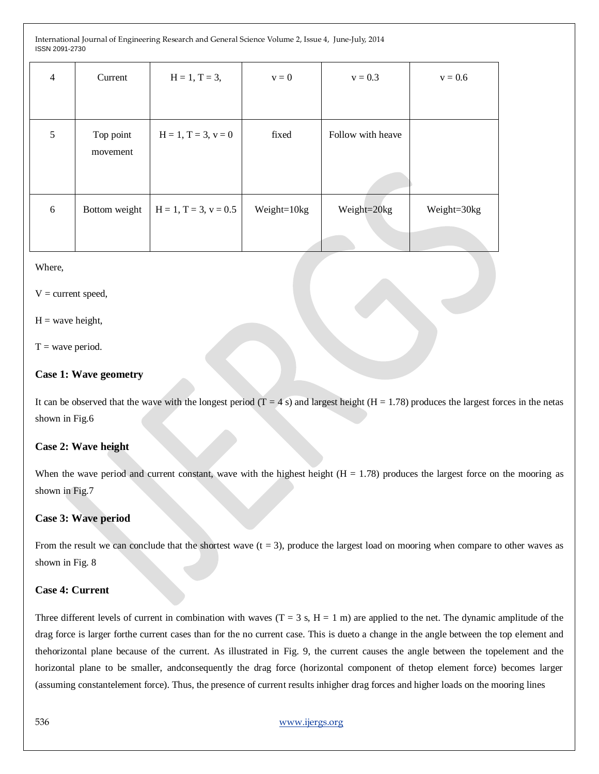| $\overline{4}$  | Current               | $H = 1, T = 3,$         | $v = 0$     | $v = 0.3$         | $v = 0.6$   |
|-----------------|-----------------------|-------------------------|-------------|-------------------|-------------|
|                 |                       |                         |             |                   |             |
| $5\overline{)}$ | Top point<br>movement | $H = 1, T = 3, v = 0$   | fixed       | Follow with heave |             |
| 6               | Bottom weight         | $H = 1, T = 3, v = 0.5$ | Weight=10kg | Weight=20kg       | Weight=30kg |
|                 |                       |                         |             |                   |             |

#### Where,

 $V =$  current speed,

## $H =$  wave height,

 $T =$  wave period.

## **Case 1: Wave geometry**

It can be observed that the wave with the longest period  $(T = 4 s)$  and largest height  $(H = 1.78)$  produces the largest forces in the netas shown in Fig.6

## **Case 2: Wave height**

When the wave period and current constant, wave with the highest height  $(H = 1.78)$  produces the largest force on the mooring as shown in Fig.7

## **Case 3: Wave period**

From the result we can conclude that the shortest wave  $(t = 3)$ , produce the largest load on mooring when compare to other waves as shown in Fig. 8

#### **Case 4: Current**

Three different levels of current in combination with waves  $(T = 3 s, H = 1 m)$  are applied to the net. The dynamic amplitude of the drag force is larger forthe current cases than for the no current case. This is dueto a change in the angle between the top element and thehorizontal plane because of the current. As illustrated in Fig. 9, the current causes the angle between the topelement and the horizontal plane to be smaller, andconsequently the drag force (horizontal component of thetop element force) becomes larger (assuming constantelement force). Thus, the presence of current results inhigher drag forces and higher loads on the mooring lines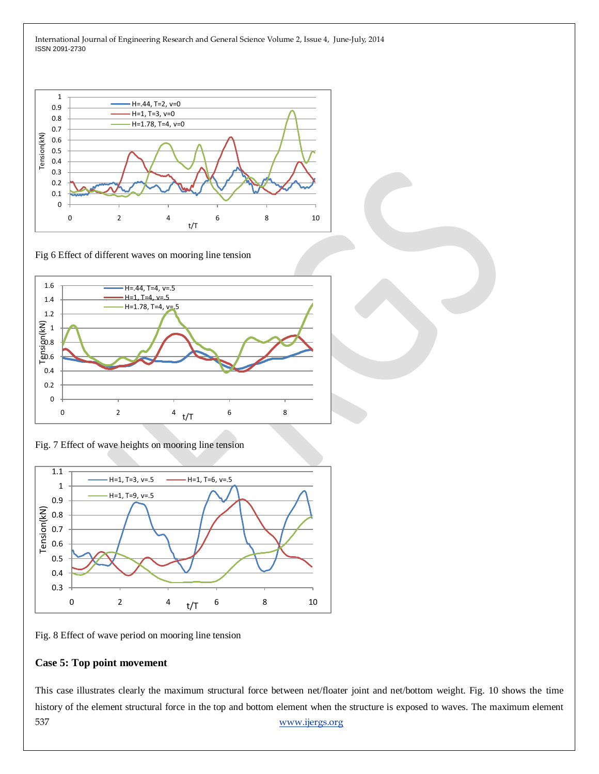

Fig 6 Effect of different waves on mooring line tension



Fig. 7 Effect of wave heights on mooring line tension



Fig. 8 Effect of wave period on mooring line tension

## **Case 5: Top point movement**

537 [www.ijergs.org](http://www.ijergs.org/) This case illustrates clearly the maximum structural force between net/floater joint and net/bottom weight. Fig. 10 shows the time history of the element structural force in the top and bottom element when the structure is exposed to waves. The maximum element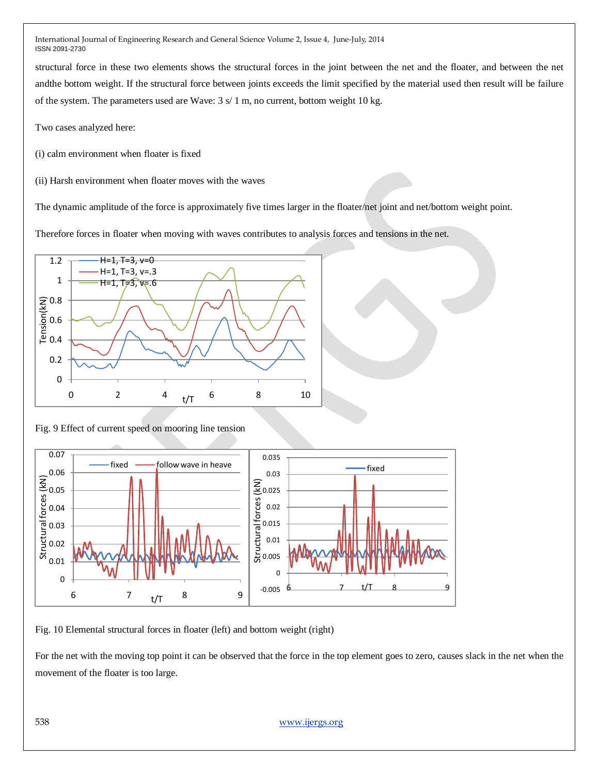structural force in these two elements shows the structural forces in the joint between the net and the floater, and between the net andthe bottom weight. If the structural force between joints exceeds the limit specified by the material used then result will be failure of the system. The parameters used are Wave: 3 s/ 1 m, no current, bottom weight 10 kg.

Two cases analyzed here:

(i) calm environment when floater is fixed

(ii) Harsh environment when floater moves with the waves

The dynamic amplitude of the force is approximately five times larger in the floater/net joint and net/bottom weight point.

Therefore forces in floater when moving with waves contributes to analysis forces and tensions in the net.



Fig. 9 Effect of current speed on mooring line tension



Fig. 10 Elemental structural forces in floater (left) and bottom weight (right)

For the net with the moving top point it can be observed that the force in the top element goes to zero, causes slack in the net when the movement of the floater is too large.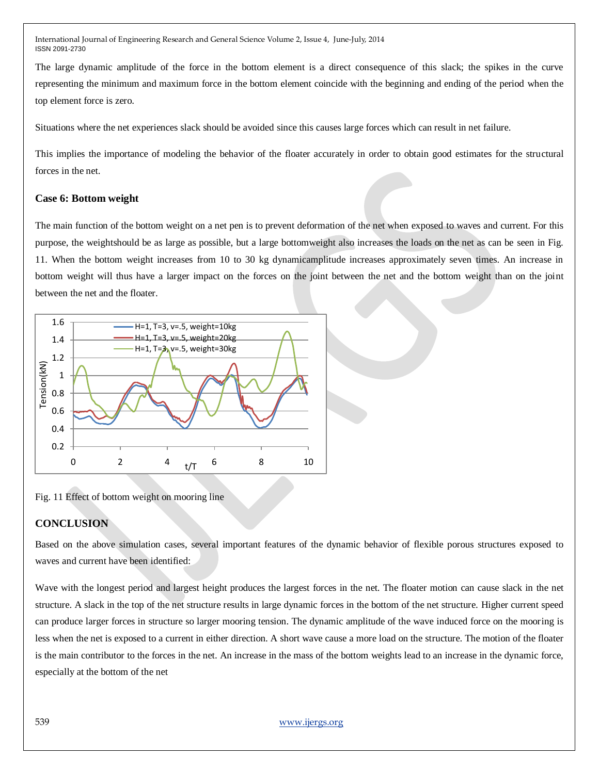The large dynamic amplitude of the force in the bottom element is a direct consequence of this slack; the spikes in the curve representing the minimum and maximum force in the bottom element coincide with the beginning and ending of the period when the top element force is zero.

Situations where the net experiences slack should be avoided since this causes large forces which can result in net failure.

This implies the importance of modeling the behavior of the floater accurately in order to obtain good estimates for the structural forces in the net.

## **Case 6: Bottom weight**

The main function of the bottom weight on a net pen is to prevent deformation of the net when exposed to waves and current. For this purpose, the weightshould be as large as possible, but a large bottomweight also increases the loads on the net as can be seen in Fig. 11. When the bottom weight increases from 10 to 30 kg dynamicamplitude increases approximately seven times. An increase in bottom weight will thus have a larger impact on the forces on the joint between the net and the bottom weight than on the joint between the net and the floater.



Fig. 11 Effect of bottom weight on mooring line

## **CONCLUSION**

Based on the above simulation cases, several important features of the dynamic behavior of flexible porous structures exposed to waves and current have been identified:

Wave with the longest period and largest height produces the largest forces in the net. The floater motion can cause slack in the net structure. A slack in the top of the net structure results in large dynamic forces in the bottom of the net structure. Higher current speed can produce larger forces in structure so larger mooring tension. The dynamic amplitude of the wave induced force on the mooring is less when the net is exposed to a current in either direction. A short wave cause a more load on the structure. The motion of the floater is the main contributor to the forces in the net. An increase in the mass of the bottom weights lead to an increase in the dynamic force, especially at the bottom of the net